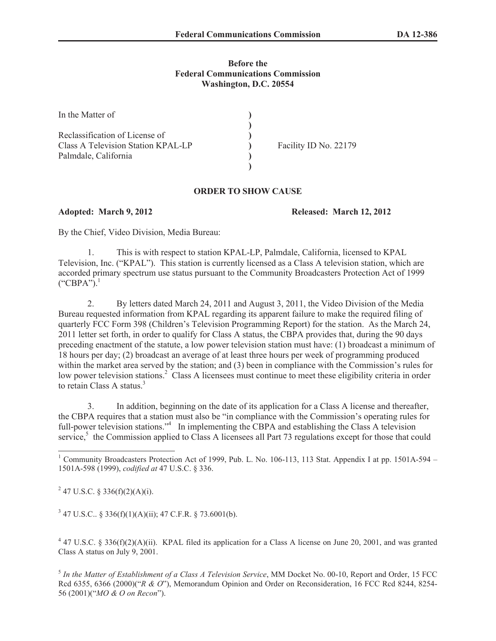## **Before the Federal Communications Commission Washington, D.C. 20554**

| In the Matter of                   |                       |
|------------------------------------|-----------------------|
|                                    |                       |
| Reclassification of License of     |                       |
| Class A Television Station KPAL-LP | Facility ID No. 22179 |
| Palmdale, California               |                       |
|                                    |                       |

## **ORDER TO SHOW CAUSE**

**Adopted: March 9, 2012 Released: March 12, 2012**

By the Chief, Video Division, Media Bureau:

1. This is with respect to station KPAL-LP, Palmdale, California, licensed to KPAL Television, Inc. ("KPAL"). This station is currently licensed as a Class A television station, which are accorded primary spectrum use status pursuant to the Community Broadcasters Protection Act of 1999  $("CBPA")$ <sup>1</sup>

2. By letters dated March 24, 2011 and August 3, 2011, the Video Division of the Media Bureau requested information from KPAL regarding its apparent failure to make the required filing of quarterly FCC Form 398 (Children's Television Programming Report) for the station. As the March 24, 2011 letter set forth, in order to qualify for Class A status, the CBPA provides that, during the 90 days preceding enactment of the statute, a low power television station must have: (1) broadcast a minimum of 18 hours per day; (2) broadcast an average of at least three hours per week of programming produced within the market area served by the station; and (3) been in compliance with the Commission's rules for low power television stations.<sup>2</sup> Class A licensees must continue to meet these eligibility criteria in order to retain Class A status $^3$ .

3. In addition, beginning on the date of its application for a Class A license and thereafter, the CBPA requires that a station must also be "in compliance with the Commission's operating rules for full-power television stations."<sup>4</sup> In implementing the CBPA and establishing the Class A television service,<sup>5</sup> the Commission applied to Class A licensees all Part 73 regulations except for those that could

<sup>2</sup> 47 U.S.C. § 336(f)(2)(A)(i).

 $347$  U.S.C.. § 336(f)(1)(A)(ii); 47 C.F.R. § 73.6001(b).

 $4$  47 U.S.C. § 336(f)(2)(A)(ii). KPAL filed its application for a Class A license on June 20, 2001, and was granted Class A status on July 9, 2001.

5 *In the Matter of Establishment of a Class A Television Service*, MM Docket No. 00-10, Report and Order, 15 FCC Rcd 6355, 6366 (2000)("*R & O*"), Memorandum Opinion and Order on Reconsideration, 16 FCC Rcd 8244, 8254- 56 (2001)("*MO & O on Recon*").

<sup>&</sup>lt;sup>1</sup> Community Broadcasters Protection Act of 1999, Pub. L. No. 106-113, 113 Stat. Appendix I at pp. 1501A-594 – 1501A-598 (1999), *codified at* 47 U.S.C. § 336.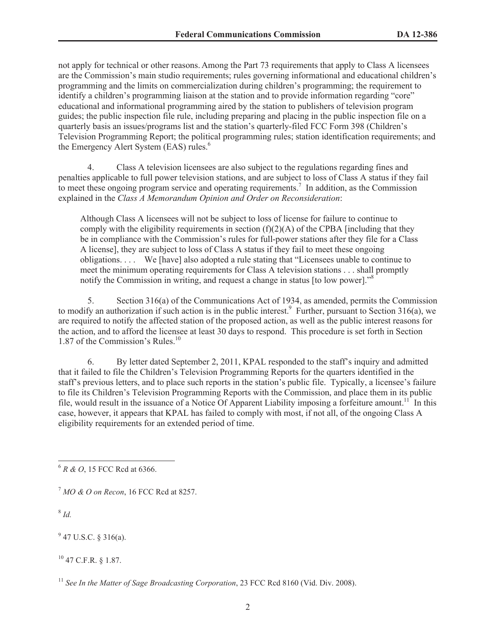not apply for technical or other reasons. Among the Part 73 requirements that apply to Class A licensees are the Commission's main studio requirements; rules governing informational and educational children's programming and the limits on commercialization during children's programming; the requirement to identify a children's programming liaison at the station and to provide information regarding "core" educational and informational programming aired by the station to publishers of television program guides; the public inspection file rule, including preparing and placing in the public inspection file on a quarterly basis an issues/programs list and the station's quarterly-filed FCC Form 398 (Children's Television Programming Report; the political programming rules; station identification requirements; and the Emergency Alert System (EAS) rules.<sup>6</sup>

4. Class A television licensees are also subject to the regulations regarding fines and penalties applicable to full power television stations, and are subject to loss of Class A status if they fail to meet these ongoing program service and operating requirements.<sup>7</sup> In addition, as the Commission explained in the *Class A Memorandum Opinion and Order on Reconsideration*:

Although Class A licensees will not be subject to loss of license for failure to continue to comply with the eligibility requirements in section  $(f)(2)(A)$  of the CPBA [including that they be in compliance with the Commission's rules for full-power stations after they file for a Class A license], they are subject to loss of Class A status if they fail to meet these ongoing obligations. . . . We [have] also adopted a rule stating that "Licensees unable to continue to meet the minimum operating requirements for Class A television stations . . . shall promptly notify the Commission in writing, and request a change in status [to low power].<sup>58</sup>

5. Section 316(a) of the Communications Act of 1934, as amended, permits the Commission to modify an authorization if such action is in the public interest.<sup>9</sup> Further, pursuant to Section 316(a), we are required to notify the affected station of the proposed action, as well as the public interest reasons for the action, and to afford the licensee at least 30 days to respond. This procedure is set forth in Section 1.87 of the Commission's Rules.<sup>10</sup>

6. By letter dated September 2, 2011, KPAL responded to the staff's inquiry and admitted that it failed to file the Children's Television Programming Reports for the quarters identified in the staff's previous letters, and to place such reports in the station's public file. Typically, a licensee's failure to file its Children's Television Programming Reports with the Commission, and place them in its public file, would result in the issuance of a Notice Of Apparent Liability imposing a forfeiture amount.<sup>11</sup> In this case, however, it appears that KPAL has failed to comply with most, if not all, of the ongoing Class A eligibility requirements for an extended period of time.

8 *Id.*

 $9$  47 U.S.C. § 316(a).

<sup>10</sup> 47 C.F.R. § 1.87.

<sup>6</sup> *R & O*, 15 FCC Rcd at 6366.

<sup>7</sup> *MO & O on Recon*, 16 FCC Rcd at 8257.

<sup>&</sup>lt;sup>11</sup> See In the Matter of Sage Broadcasting Corporation, 23 FCC Rcd 8160 (Vid. Div. 2008).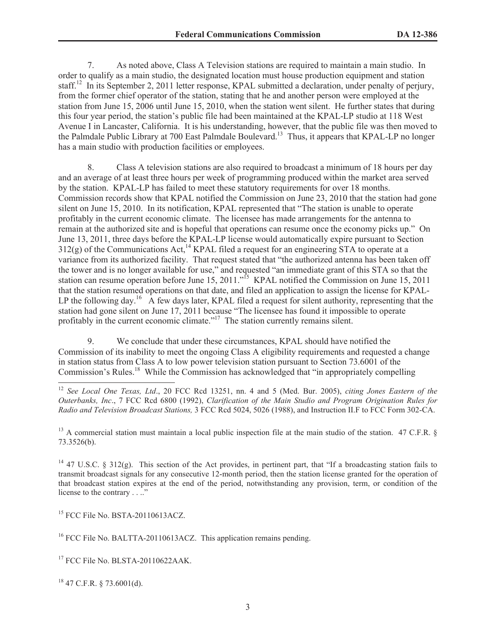7. As noted above, Class A Television stations are required to maintain a main studio. In order to qualify as a main studio, the designated location must house production equipment and station staff.<sup>12</sup> In its September 2, 2011 letter response, KPAL submitted a declaration, under penalty of perjury, from the former chief operator of the station, stating that he and another person were employed at the station from June 15, 2006 until June 15, 2010, when the station went silent. He further states that during this four year period, the station's public file had been maintained at the KPAL-LP studio at 118 West Avenue I in Lancaster, California. It is his understanding, however, that the public file was then moved to the Palmdale Public Library at 700 East Palmdale Boulevard.<sup>13</sup> Thus, it appears that KPAL-LP no longer has a main studio with production facilities or employees.

8. Class A television stations are also required to broadcast a minimum of 18 hours per day and an average of at least three hours per week of programming produced within the market area served by the station. KPAL-LP has failed to meet these statutory requirements for over 18 months. Commission records show that KPAL notified the Commission on June 23, 2010 that the station had gone silent on June 15, 2010. In its notification, KPAL represented that "The station is unable to operate profitably in the current economic climate. The licensee has made arrangements for the antenna to remain at the authorized site and is hopeful that operations can resume once the economy picks up." On June 13, 2011, three days before the KPAL-LP license would automatically expire pursuant to Section  $312(g)$  of the Communications Act,<sup>14</sup> KPAL filed a request for an engineering STA to operate at a variance from its authorized facility. That request stated that "the authorized antenna has been taken off the tower and is no longer available for use," and requested "an immediate grant of this STA so that the station can resume operation before June 15, 2011."<sup>15</sup> KPAL notified the Commission on June 15, 2011 that the station resumed operations on that date, and filed an application to assign the license for KPAL-LP the following day.<sup>16</sup> A few days later, KPAL filed a request for silent authority, representing that the station had gone silent on June 17, 2011 because "The licensee has found it impossible to operate profitably in the current economic climate."<sup>17</sup> The station currently remains silent.

9. We conclude that under these circumstances, KPAL should have notified the Commission of its inability to meet the ongoing Class A eligibility requirements and requested a change in station status from Class A to low power television station pursuant to Section 73.6001 of the Commission's Rules.<sup>18</sup> While the Commission has acknowledged that "in appropriately compelling

<sup>13</sup> A commercial station must maintain a local public inspection file at the main studio of the station. 47 C.F.R.  $\S$ 73.3526(b).

<sup>14</sup> 47 U.S.C. § 312(g). This section of the Act provides, in pertinent part, that "If a broadcasting station fails to transmit broadcast signals for any consecutive 12-month period, then the station license granted for the operation of that broadcast station expires at the end of the period, notwithstanding any provision, term, or condition of the license to the contrary . . .."

<sup>15</sup> FCC File No. BSTA-20110613ACZ.

<sup>16</sup> FCC File No. BALTTA-20110613ACZ. This application remains pending.

<sup>17</sup> FCC File No. BLSTA-20110622AAK.

 $18$  47 C.F.R. § 73.6001(d).

<sup>12</sup> *See Local One Texas, Ltd*., 20 FCC Rcd 13251, nn. 4 and 5 (Med. Bur. 2005), *citing Jones Eastern of the Outerbanks, Inc*., 7 FCC Rcd 6800 (1992), *Clarification of the Main Studio and Program Origination Rules for Radio and Television Broadcast Stations,* 3 FCC Rcd 5024, 5026 (1988), and Instruction II.F to FCC Form 302-CA.